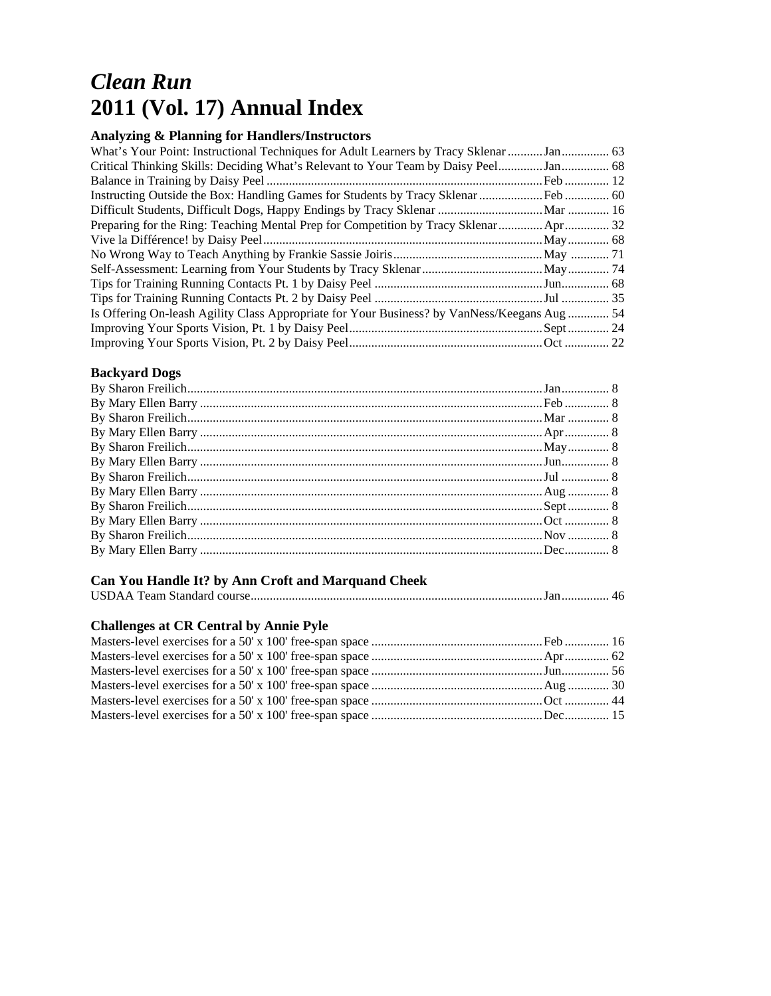# *Clean Run*  **2011 (Vol. 17) Annual Index**

#### **Analyzing & Planning for Handlers/Instructors**

| What's Your Point: Instructional Techniques for Adult Learners by Tracy Sklenar Jan  63      |  |
|----------------------------------------------------------------------------------------------|--|
|                                                                                              |  |
|                                                                                              |  |
|                                                                                              |  |
|                                                                                              |  |
| Preparing for the Ring: Teaching Mental Prep for Competition by Tracy Sklenar Apr 32         |  |
|                                                                                              |  |
|                                                                                              |  |
|                                                                                              |  |
|                                                                                              |  |
|                                                                                              |  |
| Is Offering On-leash Agility Class Appropriate for Your Business? by VanNess/Keegans Aug  54 |  |
|                                                                                              |  |
|                                                                                              |  |

## **Backyard Dogs**

# **Can You Handle It? by Ann Croft and Marquand Cheek**

|--|--|--|--|--|--|

# **Challenges at CR Central by Annie Pyle**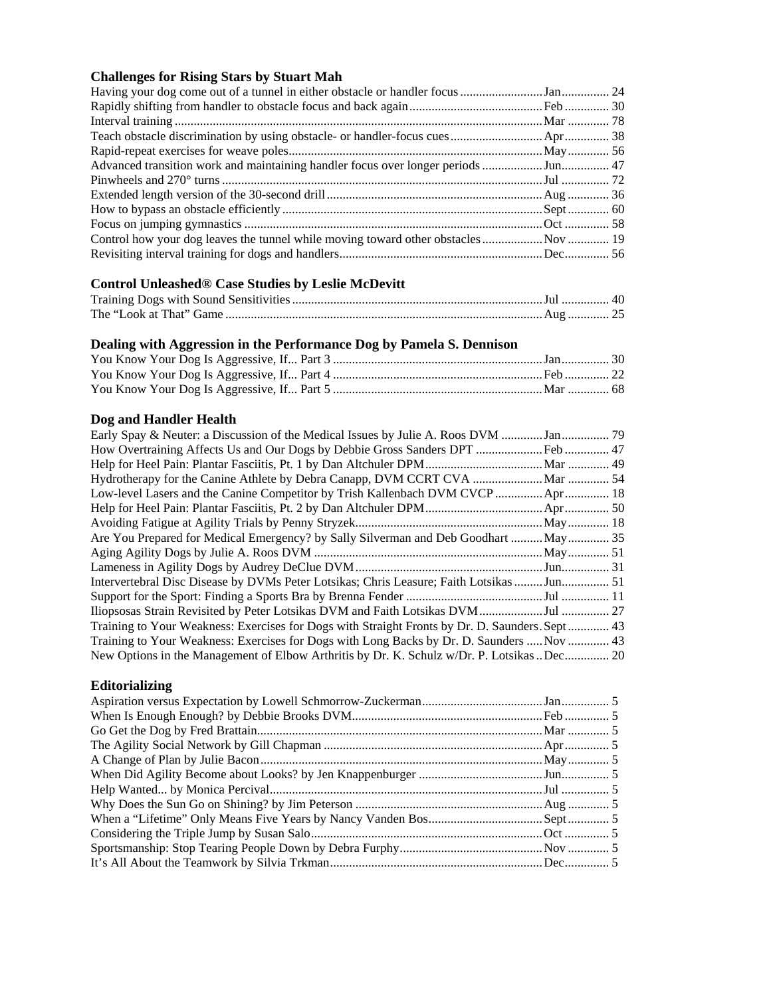#### **Challenges for Rising Stars by Stuart Mah**

| Advanced transition work and maintaining handler focus over longer periods Jun 47 |  |
|-----------------------------------------------------------------------------------|--|
|                                                                                   |  |
|                                                                                   |  |
|                                                                                   |  |
|                                                                                   |  |
|                                                                                   |  |
|                                                                                   |  |
|                                                                                   |  |

#### **Control Unleashed® Case Studies by Leslie McDevitt**

## **Dealing with Aggression in the Performance Dog by Pamela S. Dennison**

#### **Dog and Handler Health**

| Low-level Lasers and the Canine Competitor by Trish Kallenbach DVM CVCP  Apr 18                |  |
|------------------------------------------------------------------------------------------------|--|
|                                                                                                |  |
|                                                                                                |  |
| Are You Prepared for Medical Emergency? by Sally Silverman and Deb Goodhart  May  35           |  |
|                                                                                                |  |
|                                                                                                |  |
| Intervertebral Disc Disease by DVMs Peter Lotsikas; Chris Leasure; Faith Lotsikas Jun 51       |  |
|                                                                                                |  |
|                                                                                                |  |
| Training to Your Weakness: Exercises for Dogs with Straight Fronts by Dr. D. Saunders. Sept 43 |  |
| Training to Your Weakness: Exercises for Dogs with Long Backs by Dr. D. Saunders  Nov  43      |  |
| New Options in the Management of Elbow Arthritis by Dr. K. Schulz w/Dr. P. Lotsikas Dec 20     |  |

## **Editorializing**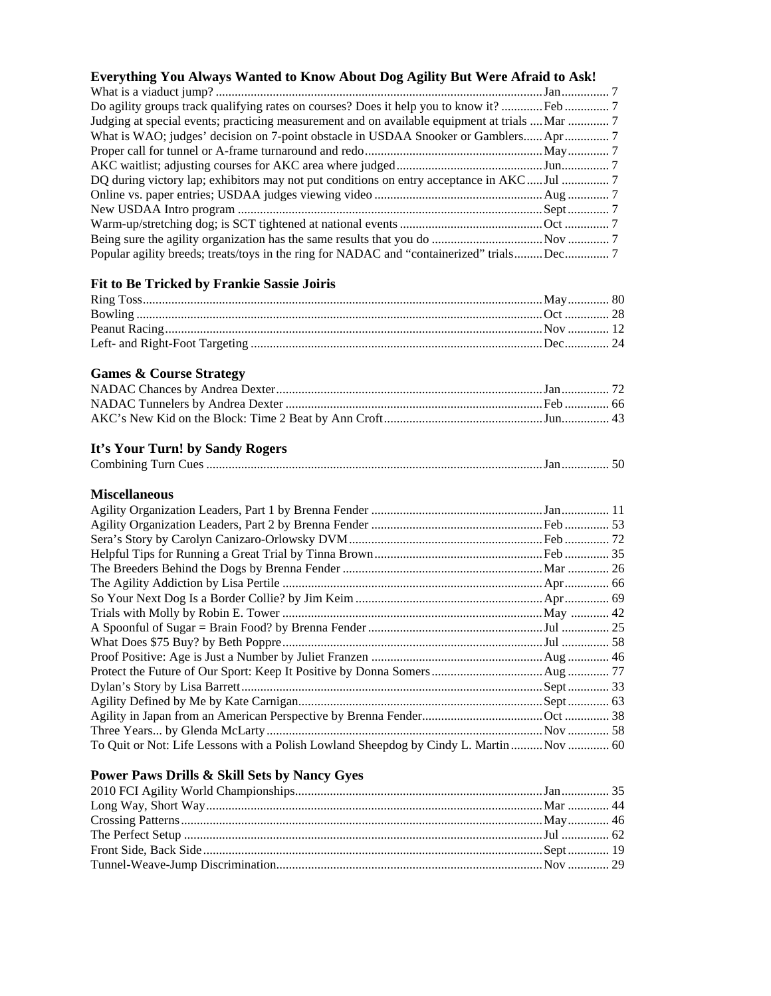| Everything You Always Wanted to Know About Dog Agility But Were Afraid to Ask!                |  |
|-----------------------------------------------------------------------------------------------|--|
|                                                                                               |  |
| Do agility groups track qualifying rates on courses? Does it help you to know it?  Feb 7      |  |
| Judging at special events; practicing measurement and on available equipment at trials  Mar 7 |  |
| What is WAO; judges' decision on 7-point obstacle in USDAA Snooker or Gamblers Apr 7          |  |
|                                                                                               |  |
|                                                                                               |  |
| DQ during victory lap; exhibitors may not put conditions on entry acceptance in AKCJul 7      |  |
|                                                                                               |  |
|                                                                                               |  |
|                                                                                               |  |
|                                                                                               |  |
| Popular agility breeds; treats/toys in the ring for NADAC and "containerized" trialsDec7      |  |
| Fit to Be Tricked by Frankie Sassie Joiris                                                    |  |
|                                                                                               |  |
|                                                                                               |  |
|                                                                                               |  |
|                                                                                               |  |
| <b>Games &amp; Course Strategy</b>                                                            |  |
|                                                                                               |  |
|                                                                                               |  |
|                                                                                               |  |
| It's Your Turn! by Sandy Rogers<br>Miscellaneous                                              |  |
|                                                                                               |  |
|                                                                                               |  |
|                                                                                               |  |
|                                                                                               |  |
|                                                                                               |  |
|                                                                                               |  |
|                                                                                               |  |
|                                                                                               |  |
|                                                                                               |  |
|                                                                                               |  |
|                                                                                               |  |
|                                                                                               |  |
|                                                                                               |  |
|                                                                                               |  |
|                                                                                               |  |
|                                                                                               |  |
|                                                                                               |  |
| To Quit or Not: Life Lessons with a Polish Lowland Sheepdog by Cindy L. Martin  Nov  60       |  |
| Power Paws Drills & Skill Sets by Nancy Gyes                                                  |  |
|                                                                                               |  |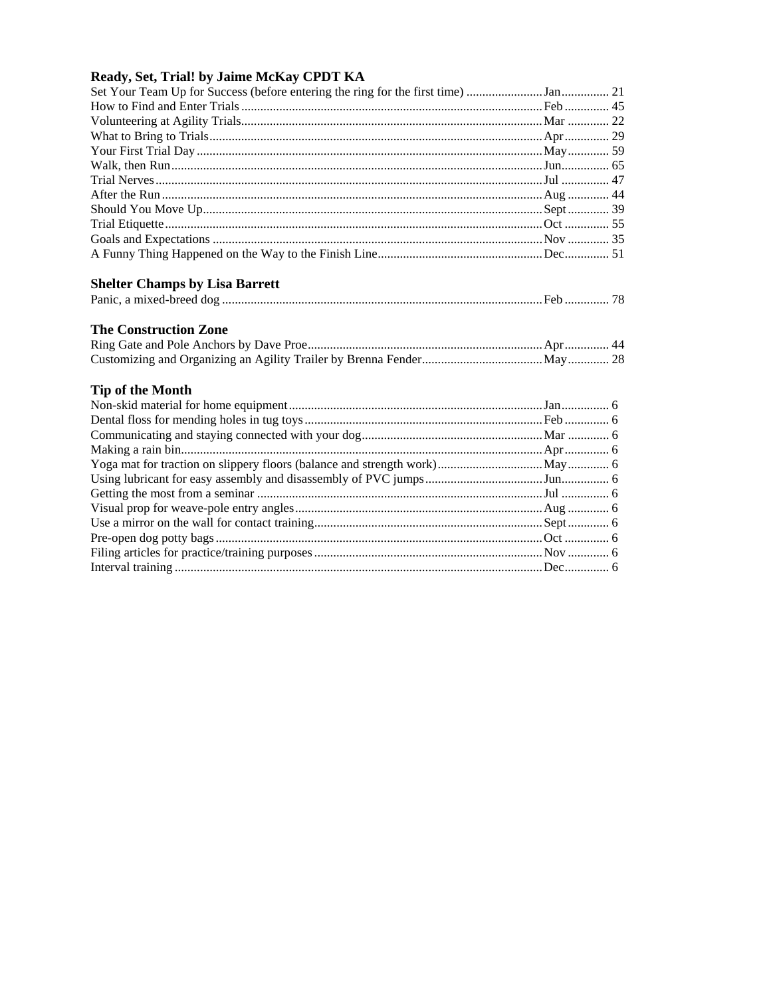#### Ready, Set, Trial! by Jaime McKay CPDT KA

| Set Your Team Up for Success (before entering the ring for the first time) 21 |  |
|-------------------------------------------------------------------------------|--|
|                                                                               |  |
|                                                                               |  |
|                                                                               |  |
|                                                                               |  |
|                                                                               |  |
|                                                                               |  |
|                                                                               |  |
|                                                                               |  |
|                                                                               |  |
|                                                                               |  |
|                                                                               |  |
| <b>Shelter Champs by Lisa Barrett</b>                                         |  |
|                                                                               |  |
| <b>The Construction Zone</b>                                                  |  |
|                                                                               |  |
|                                                                               |  |
| <b>Tip of the Month</b>                                                       |  |
|                                                                               |  |
|                                                                               |  |
|                                                                               |  |
|                                                                               |  |
|                                                                               |  |
|                                                                               |  |
|                                                                               |  |
|                                                                               |  |
|                                                                               |  |
|                                                                               |  |
|                                                                               |  |
|                                                                               |  |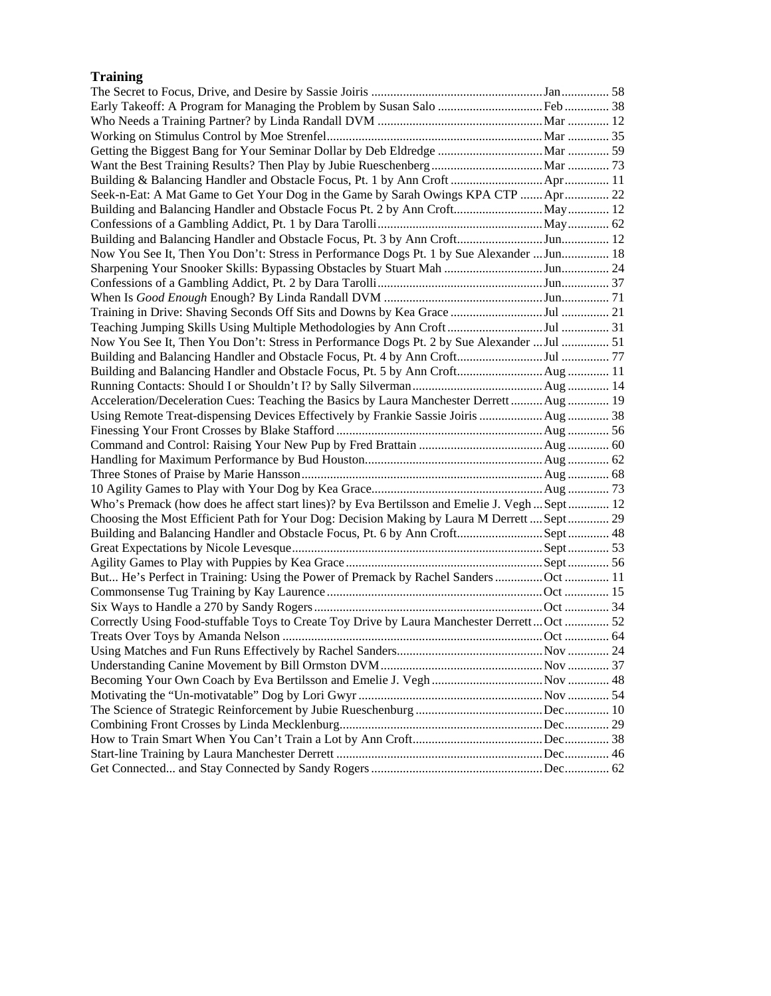# **Training**

| Seek-n-Eat: A Mat Game to Get Your Dog in the Game by Sarah Owings KPA CTP  Apr  22         |  |
|---------------------------------------------------------------------------------------------|--|
|                                                                                             |  |
|                                                                                             |  |
|                                                                                             |  |
| Now You See It, Then You Don't: Stress in Performance Dogs Pt. 1 by Sue Alexander  Jun 18   |  |
|                                                                                             |  |
|                                                                                             |  |
|                                                                                             |  |
|                                                                                             |  |
|                                                                                             |  |
| Now You See It, Then You Don't: Stress in Performance Dogs Pt. 2 by Sue Alexander  Jul  51  |  |
|                                                                                             |  |
|                                                                                             |  |
|                                                                                             |  |
| Acceleration/Deceleration Cues: Teaching the Basics by Laura Manchester Derrett Aug 19      |  |
| Using Remote Treat-dispensing Devices Effectively by Frankie Sassie Joiris  Aug  38         |  |
|                                                                                             |  |
|                                                                                             |  |
|                                                                                             |  |
|                                                                                             |  |
|                                                                                             |  |
| Who's Premack (how does he affect start lines)? by Eva Bertilsson and Emelie J. VeghSept 12 |  |
| Choosing the Most Efficient Path for Your Dog: Decision Making by Laura M Derrett  Sept  29 |  |
|                                                                                             |  |
|                                                                                             |  |
|                                                                                             |  |
| But He's Perfect in Training: Using the Power of Premack by Rachel Sanders Oct  11          |  |
|                                                                                             |  |
|                                                                                             |  |
| Correctly Using Food-stuffable Toys to Create Toy Drive by Laura Manchester Derrett Oct  52 |  |
|                                                                                             |  |
|                                                                                             |  |
|                                                                                             |  |
|                                                                                             |  |
|                                                                                             |  |
|                                                                                             |  |
|                                                                                             |  |
|                                                                                             |  |
|                                                                                             |  |
|                                                                                             |  |